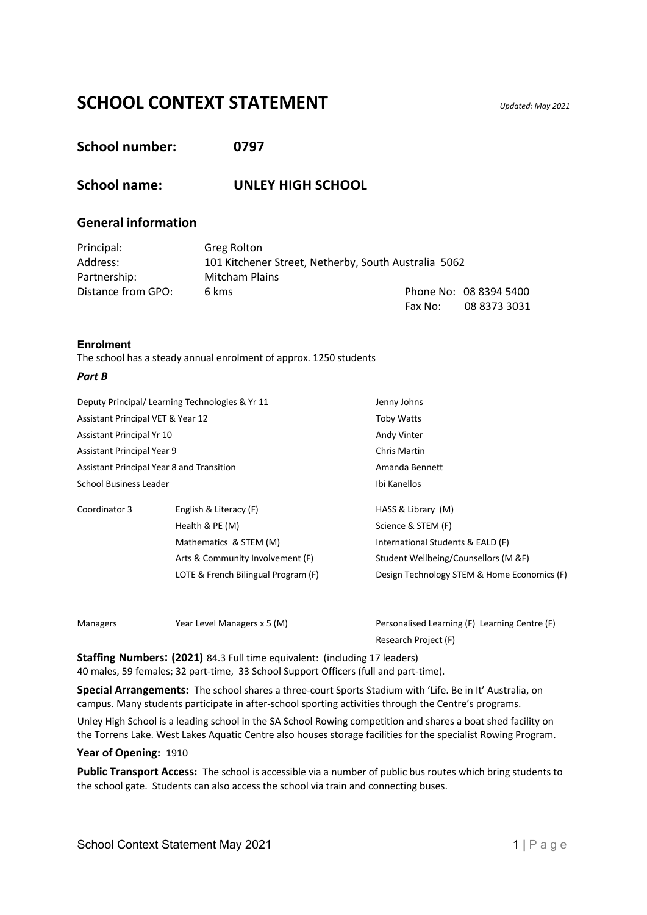# **SCHOOL CONTEXT STATEMENT** *Updated: May 2021*

# **School number: 0797**

# **School name: UNLEY HIGH SCHOOL**

# **General information**

| Principal:         | Greg Rolton                                          |         |                        |
|--------------------|------------------------------------------------------|---------|------------------------|
| Address:           | 101 Kitchener Street, Netherby, South Australia 5062 |         |                        |
| Partnership:       | <b>Mitcham Plains</b>                                |         |                        |
| Distance from GPO: | 6 kms                                                |         | Phone No: 08 8394 5400 |
|                    |                                                      | Fax No: | 08 8373 3031           |

#### **Enrolment**

The school has a steady annual enrolment of approx. 1250 students

#### *Part B*

| Deputy Principal/ Learning Technologies & Yr 11 |                                     | Jenny Johns                                   |
|-------------------------------------------------|-------------------------------------|-----------------------------------------------|
| Assistant Principal VET & Year 12               |                                     | <b>Toby Watts</b>                             |
| Assistant Principal Yr 10                       |                                     | Andy Vinter                                   |
| Assistant Principal Year 9                      |                                     | <b>Chris Martin</b>                           |
| Assistant Principal Year 8 and Transition       |                                     | Amanda Bennett                                |
| <b>School Business Leader</b>                   |                                     | Ibi Kanellos                                  |
| Coordinator 3                                   | English & Literacy (F)              | HASS & Library (M)                            |
|                                                 | Health & PE (M)                     | Science & STEM (F)                            |
|                                                 | Mathematics & STEM (M)              | International Students & EALD (F)             |
|                                                 | Arts & Community Involvement (F)    | Student Wellbeing/Counsellors (M &F)          |
|                                                 | LOTE & French Bilingual Program (F) | Design Technology STEM & Home Economics (F)   |
|                                                 |                                     |                                               |
| <b>Managers</b>                                 | Year Level Managers x 5 (M)         | Personalised Learning (F) Learning Centre (F) |

Research Project (F)

**Staffing Numbers: (2021)** 84.3 Full time equivalent: (including 17 leaders) 40 males, 59 females; 32 part-time, 33 School Support Officers (full and part-time).

**Special Arrangements:** The school shares a three-court Sports Stadium with 'Life. Be in It' Australia, on campus. Many students participate in after-school sporting activities through the Centre's programs.

Unley High School is a leading school in the SA School Rowing competition and shares a boat shed facility on the Torrens Lake. West Lakes Aquatic Centre also houses storage facilities for the specialist Rowing Program.

#### **Year of Opening:** 1910

**Public Transport Access:** The school is accessible via a number of public bus routes which bring students to the school gate. Students can also access the school via train and connecting buses.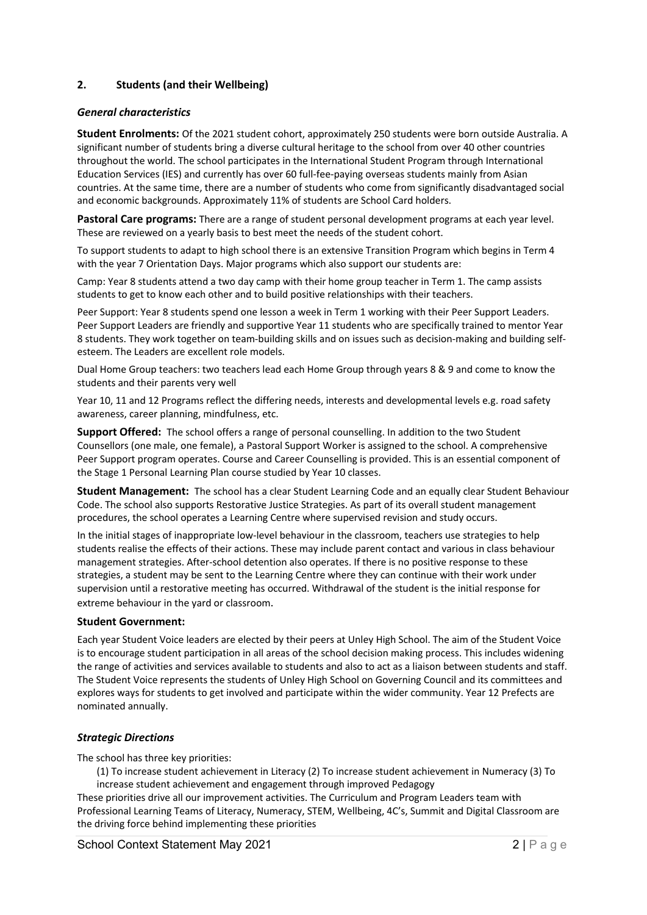# **2. Students (and their Wellbeing)**

#### *General characteristics*

**Student Enrolments:** Of the 2021 student cohort, approximately 250 students were born outside Australia. A significant number of students bring a diverse cultural heritage to the school from over 40 other countries throughout the world. The school participates in the International Student Program through International Education Services (IES) and currently has over 60 full-fee-paying overseas students mainly from Asian countries. At the same time, there are a number of students who come from significantly disadvantaged social and economic backgrounds. Approximately 11% of students are School Card holders.

Pastoral Care programs: There are a range of student personal development programs at each year level. These are reviewed on a yearly basis to best meet the needs of the student cohort.

To support students to adapt to high school there is an extensive Transition Program which begins in Term 4 with the year 7 Orientation Days. Major programs which also support our students are:

Camp: Year 8 students attend a two day camp with their home group teacher in Term 1. The camp assists students to get to know each other and to build positive relationships with their teachers.

Peer Support: Year 8 students spend one lesson a week in Term 1 working with their Peer Support Leaders. Peer Support Leaders are friendly and supportive Year 11 students who are specifically trained to mentor Year 8 students. They work together on team-building skills and on issues such as decision-making and building selfesteem. The Leaders are excellent role models.

Dual Home Group teachers: two teachers lead each Home Group through years 8 & 9 and come to know the students and their parents very well

Year 10, 11 and 12 Programs reflect the differing needs, interests and developmental levels e.g. road safety awareness, career planning, mindfulness, etc.

**Support Offered:** The school offers a range of personal counselling. In addition to the two Student Counsellors (one male, one female), a Pastoral Support Worker is assigned to the school. A comprehensive Peer Support program operates. Course and Career Counselling is provided. This is an essential component of the Stage 1 Personal Learning Plan course studied by Year 10 classes.

**Student Management:** The school has a clear Student Learning Code and an equally clear Student Behaviour Code. The school also supports Restorative Justice Strategies. As part of its overall student management procedures, the school operates a Learning Centre where supervised revision and study occurs.

In the initial stages of inappropriate low-level behaviour in the classroom, teachers use strategies to help students realise the effects of their actions. These may include parent contact and various in class behaviour management strategies. After-school detention also operates. If there is no positive response to these strategies, a student may be sent to the Learning Centre where they can continue with their work under supervision until a restorative meeting has occurred. Withdrawal of the student is the initial response for extreme behaviour in the yard or classroom.

#### **Student Government:**

Each year Student Voice leaders are elected by their peers at Unley High School. The aim of the Student Voice is to encourage student participation in all areas of the school decision making process. This includes widening the range of activities and services available to students and also to act as a liaison between students and staff. The Student Voice represents the students of Unley High School on Governing Council and its committees and explores ways for students to get involved and participate within the wider community. Year 12 Prefects are nominated annually.

# *Strategic Directions*

The school has three key priorities:

(1) To increase student achievement in Literacy (2) To increase student achievement in Numeracy (3) To increase student achievement and engagement through improved Pedagogy

These priorities drive all our improvement activities. The Curriculum and Program Leaders team with Professional Learning Teams of Literacy, Numeracy, STEM, Wellbeing, 4C's, Summit and Digital Classroom are the driving force behind implementing these priorities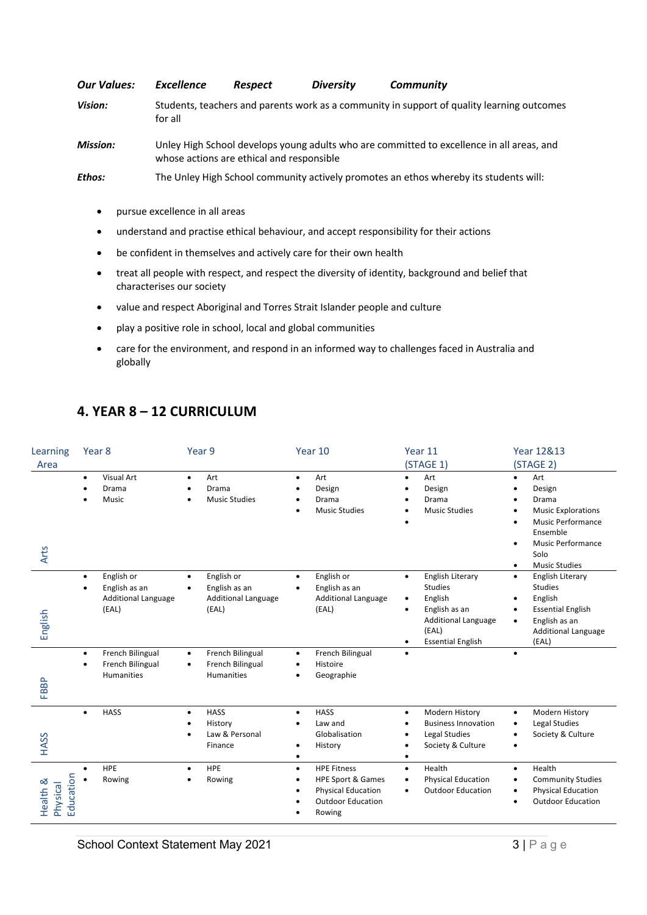*Our Values: Excellence Respect Diversity Community Vision:* Students, teachers and parents work as a community in support of quality learning outcomes for all *Mission:* Unley High School develops young adults who are committed to excellence in all areas, and whose actions are ethical and responsible

*Ethos:* The Unley High School community actively promotes an ethos whereby its students will:

- pursue excellence in all areas
- understand and practise ethical behaviour, and accept responsibility for their actions
- be confident in themselves and actively care for their own health
- treat all people with respect, and respect the diversity of identity, background and belief that characterises our society
- value and respect Aboriginal and Torres Strait Islander people and culture
- play a positive role in school, local and global communities
- care for the environment, and respond in an informed way to challenges faced in Australia and globally

# **4. YEAR 8 – 12 CURRICULUM**

| Learning<br>Area                  | Year 8                                                                                       | Year 9                                                                                       | Year 10                                                                                                                            | Year 11<br>(STAGE 1)                                                                                                                                             | Year 12&13<br>(STAGE 2)                                                                                                                                                                |
|-----------------------------------|----------------------------------------------------------------------------------------------|----------------------------------------------------------------------------------------------|------------------------------------------------------------------------------------------------------------------------------------|------------------------------------------------------------------------------------------------------------------------------------------------------------------|----------------------------------------------------------------------------------------------------------------------------------------------------------------------------------------|
| Arts                              | <b>Visual Art</b><br>$\bullet$<br>Drama<br>Music                                             | Art<br>$\bullet$<br>Drama<br><b>Music Studies</b>                                            | Art<br>$\bullet$<br>Design<br>Drama<br><b>Music Studies</b>                                                                        | Art<br>$\bullet$<br>Design<br>Drama<br><b>Music Studies</b>                                                                                                      | Art<br>$\bullet$<br>Design<br>Drama<br><b>Music Explorations</b><br><b>Music Performance</b><br>Ensemble<br><b>Music Performance</b><br>$\bullet$<br>Solo<br><b>Music Studies</b><br>٠ |
| English                           | English or<br>$\bullet$<br>English as an<br>$\bullet$<br><b>Additional Language</b><br>(EAL) | English or<br>$\bullet$<br>English as an<br>$\bullet$<br><b>Additional Language</b><br>(EAL) | English or<br>$\bullet$<br>English as an<br>$\bullet$<br><b>Additional Language</b><br>(EAL)                                       | English Literary<br>$\bullet$<br><b>Studies</b><br>English<br>٠<br>English as an<br>$\bullet$<br><b>Additional Language</b><br>(EAL)<br><b>Essential English</b> | English Literary<br>٠<br><b>Studies</b><br>English<br><b>Essential English</b><br>English as an<br>$\bullet$<br><b>Additional Language</b><br>(EAL)                                    |
| FBBP                              | French Bilingual<br>$\bullet$<br>French Bilingual<br>$\bullet$<br><b>Humanities</b>          | French Bilingual<br>$\bullet$<br>French Bilingual<br>٠<br><b>Humanities</b>                  | French Bilingual<br>$\bullet$<br>Histoire<br>$\bullet$<br>Geographie<br>$\bullet$                                                  |                                                                                                                                                                  |                                                                                                                                                                                        |
| HASS                              | <b>HASS</b><br>$\bullet$                                                                     | <b>HASS</b><br>$\bullet$<br>History<br>Law & Personal<br>Finance                             | <b>HASS</b><br>$\bullet$<br>Law and<br>Globalisation<br>History<br>٠<br>$\bullet$                                                  | Modern History<br>$\bullet$<br><b>Business Innovation</b><br>Legal Studies<br>$\bullet$<br>Society & Culture<br>$\bullet$                                        | Modern History<br>$\bullet$<br>Legal Studies<br>Society & Culture                                                                                                                      |
| Education<br>Health &<br>Physical | HPE<br>$\bullet$<br>Rowing                                                                   | <b>HPE</b><br>$\bullet$<br>Rowing<br>٠                                                       | <b>HPE Fitness</b><br>$\bullet$<br><b>HPE Sport &amp; Games</b><br><b>Physical Education</b><br><b>Outdoor Education</b><br>Rowing | Health<br>$\bullet$<br><b>Physical Education</b><br><b>Outdoor Education</b><br>٠                                                                                | Health<br>$\bullet$<br><b>Community Studies</b><br><b>Physical Education</b><br><b>Outdoor Education</b>                                                                               |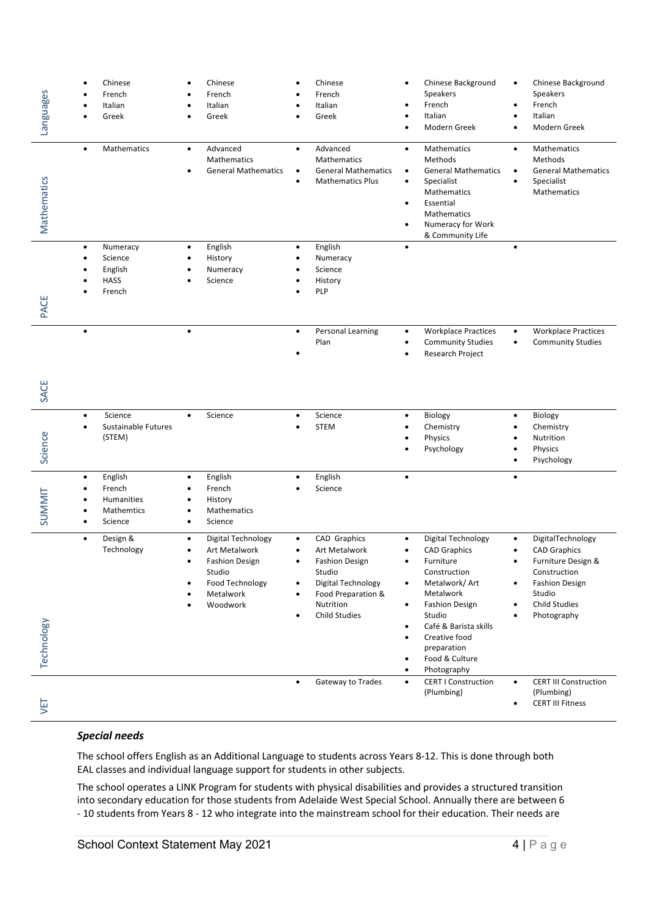| Languages     | Chinese<br>$\bullet$<br>French<br>Italian<br>Greek                                              | Chinese<br>French<br>Italian<br>Greek                                                                                   | Chinese<br>French<br>Italian<br>Greek                                                                                                                              | Chinese Background<br>٠<br><b>Speakers</b><br>French<br>Italian<br>٠<br>Modern Greek<br>$\bullet$                                                                                                                                                                                                                    | Chinese Background<br>٠<br>Speakers<br>French<br>Italian<br>Modern Greek                                                                                 |
|---------------|-------------------------------------------------------------------------------------------------|-------------------------------------------------------------------------------------------------------------------------|--------------------------------------------------------------------------------------------------------------------------------------------------------------------|----------------------------------------------------------------------------------------------------------------------------------------------------------------------------------------------------------------------------------------------------------------------------------------------------------------------|----------------------------------------------------------------------------------------------------------------------------------------------------------|
| Mathematics   | Mathematics<br>$\bullet$                                                                        | Advanced<br>$\bullet$<br>Mathematics<br><b>General Mathematics</b>                                                      | Advanced<br>$\bullet$<br>Mathematics<br><b>General Mathematics</b><br>$\bullet$<br><b>Mathematics Plus</b>                                                         | Mathematics<br>$\bullet$<br>Methods<br><b>General Mathematics</b><br>$\bullet$<br>Specialist<br>٠<br>Mathematics<br>Essential<br>Mathematics<br>Numeracy for Work<br>& Community Life                                                                                                                                | Mathematics<br>$\bullet$<br>Methods<br><b>General Mathematics</b><br>Specialist<br>٠<br>Mathematics                                                      |
| PACE          | Numeracy<br>$\bullet$<br>Science<br>English<br><b>HASS</b><br>French                            | English<br>$\bullet$<br>History<br>Numeracy<br>Science                                                                  | English<br>$\bullet$<br>Numeracy<br>Science<br>History<br><b>PLP</b>                                                                                               | $\bullet$                                                                                                                                                                                                                                                                                                            |                                                                                                                                                          |
| SACE          |                                                                                                 |                                                                                                                         | Personal Learning<br>$\bullet$<br>Plan                                                                                                                             | <b>Workplace Practices</b><br>٠<br><b>Community Studies</b><br>٠<br>Research Project                                                                                                                                                                                                                                 | <b>Workplace Practices</b><br>$\bullet$<br><b>Community Studies</b><br>$\bullet$                                                                         |
| Science       | Science<br>$\bullet$<br>Sustainable Futures<br>$\bullet$<br>(STEM)                              | Science<br>$\bullet$                                                                                                    | Science<br><b>STEM</b>                                                                                                                                             | Biology<br>$\bullet$<br>Chemistry<br>$\bullet$<br>Physics<br>$\bullet$<br>Psychology                                                                                                                                                                                                                                 | Biology<br>٠<br>Chemistry<br>Nutrition<br>Physics<br>Psychology                                                                                          |
| <b>SUMMIT</b> | English<br>$\bullet$<br>French<br>$\bullet$<br>Humanities<br>Mathemtics<br>Science<br>$\bullet$ | English<br>$\bullet$<br>French<br>History<br>Mathematics<br>Science                                                     | English<br>$\bullet$<br>Science                                                                                                                                    | $\bullet$                                                                                                                                                                                                                                                                                                            | $\bullet$                                                                                                                                                |
| Technology    | Design &<br>$\bullet$<br>Technology                                                             | Digital Technology<br>٠<br>Art Metalwork<br><b>Fashion Design</b><br>Studio<br>Food Technology<br>Metalwork<br>Woodwork | CAD Graphics<br>٠<br><b>Art Metalwork</b><br><b>Fashion Design</b><br>Studio<br>Digital Technology<br>Food Preparation &<br>٠<br>Nutrition<br><b>Child Studies</b> | Digital Technology<br>$\bullet$<br><b>CAD Graphics</b><br>Furniture<br>Construction<br>Metalwork/Art<br>$\bullet$<br>Metalwork<br><b>Fashion Design</b><br>$\bullet$<br>Studio<br>Café & Barista skills<br>٠<br>Creative food<br>$\bullet$<br>preparation<br>Food & Culture<br>$\bullet$<br>Photography<br>$\bullet$ | DigitalTechnology<br><b>CAD Graphics</b><br>Furniture Design &<br>Construction<br><b>Fashion Design</b><br>Studio<br><b>Child Studies</b><br>Photography |
| JΕI           |                                                                                                 |                                                                                                                         | Gateway to Trades<br>$\bullet$                                                                                                                                     | <b>CERT I Construction</b><br>$\bullet$<br>(Plumbing)                                                                                                                                                                                                                                                                | <b>CERT III Construction</b><br>$\bullet$<br>(Plumbing)<br><b>CERT III Fitness</b>                                                                       |

# *Special needs*

The school offers English as an Additional Language to students across Years 8-12. This is done through both EAL classes and individual language support for students in other subjects.

The school operates a LINK Program for students with physical disabilities and provides a structured transition into secondary education for those students from Adelaide West Special School. Annually there are between 6 - 10 students from Years 8 - 12 who integrate into the mainstream school for their education. Their needs are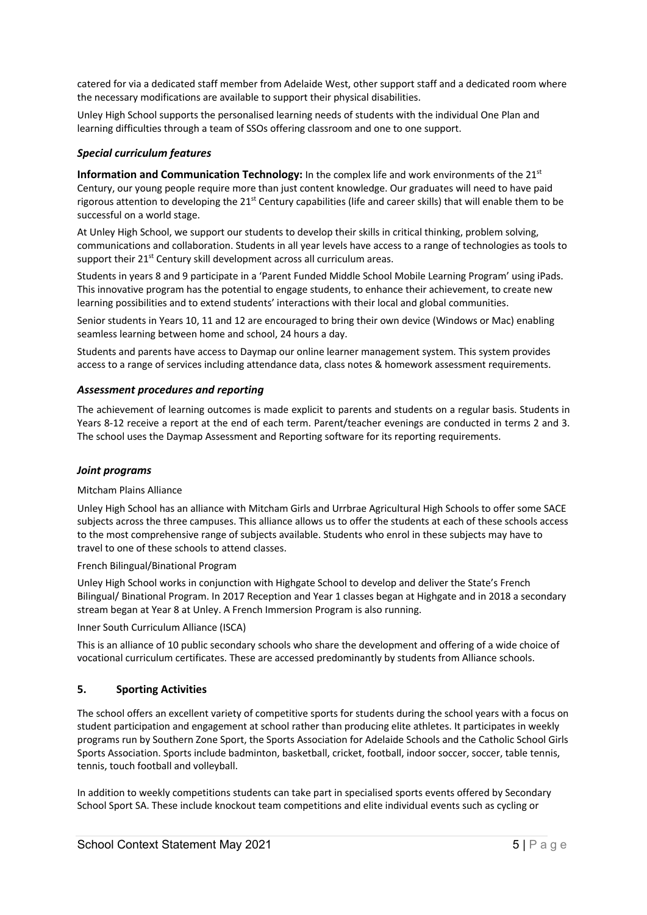catered for via a dedicated staff member from Adelaide West, other support staff and a dedicated room where the necessary modifications are available to support their physical disabilities.

Unley High School supports the personalised learning needs of students with the individual One Plan and learning difficulties through a team of SSOs offering classroom and one to one support.

#### *Special curriculum features*

**Information and Communication Technology:** In the complex life and work environments of the 21<sup>st</sup> Century, our young people require more than just content knowledge. Our graduates will need to have paid rigorous attention to developing the  $21^{st}$  Century capabilities (life and career skills) that will enable them to be successful on a world stage.

At Unley High School, we support our students to develop their skills in critical thinking, problem solving, communications and collaboration. Students in all year levels have access to a range of technologies as tools to support their 21<sup>st</sup> Century skill development across all curriculum areas.

Students in years 8 and 9 participate in a 'Parent Funded Middle School Mobile Learning Program' using iPads. This innovative program has the potential to engage students, to enhance their achievement, to create new learning possibilities and to extend students' interactions with their local and global communities.

Senior students in Years 10, 11 and 12 are encouraged to bring their own device (Windows or Mac) enabling seamless learning between home and school, 24 hours a day.

Students and parents have access to Daymap our online learner management system. This system provides access to a range of services including attendance data, class notes & homework assessment requirements.

#### *Assessment procedures and reporting*

The achievement of learning outcomes is made explicit to parents and students on a regular basis. Students in Years 8-12 receive a report at the end of each term. Parent/teacher evenings are conducted in terms 2 and 3. The school uses the Daymap Assessment and Reporting software for its reporting requirements.

#### *Joint programs*

#### Mitcham Plains Alliance

Unley High School has an alliance with Mitcham Girls and Urrbrae Agricultural High Schools to offer some SACE subjects across the three campuses. This alliance allows us to offer the students at each of these schools access to the most comprehensive range of subjects available. Students who enrol in these subjects may have to travel to one of these schools to attend classes.

French Bilingual/Binational Program

Unley High School works in conjunction with Highgate School to develop and deliver the State's French Bilingual/ Binational Program. In 2017 Reception and Year 1 classes began at Highgate and in 2018 a secondary stream began at Year 8 at Unley. A French Immersion Program is also running.

#### Inner South Curriculum Alliance (ISCA)

This is an alliance of 10 public secondary schools who share the development and offering of a wide choice of vocational curriculum certificates. These are accessed predominantly by students from Alliance schools.

# **5. Sporting Activities**

The school offers an excellent variety of competitive sports for students during the school years with a focus on student participation and engagement at school rather than producing elite athletes. It participates in weekly programs run by Southern Zone Sport, the Sports Association for Adelaide Schools and the Catholic School Girls Sports Association. Sports include badminton, basketball, cricket, football, indoor soccer, soccer, table tennis, tennis, touch football and volleyball.

In addition to weekly competitions students can take part in specialised sports events offered by Secondary School Sport SA. These include knockout team competitions and elite individual events such as cycling or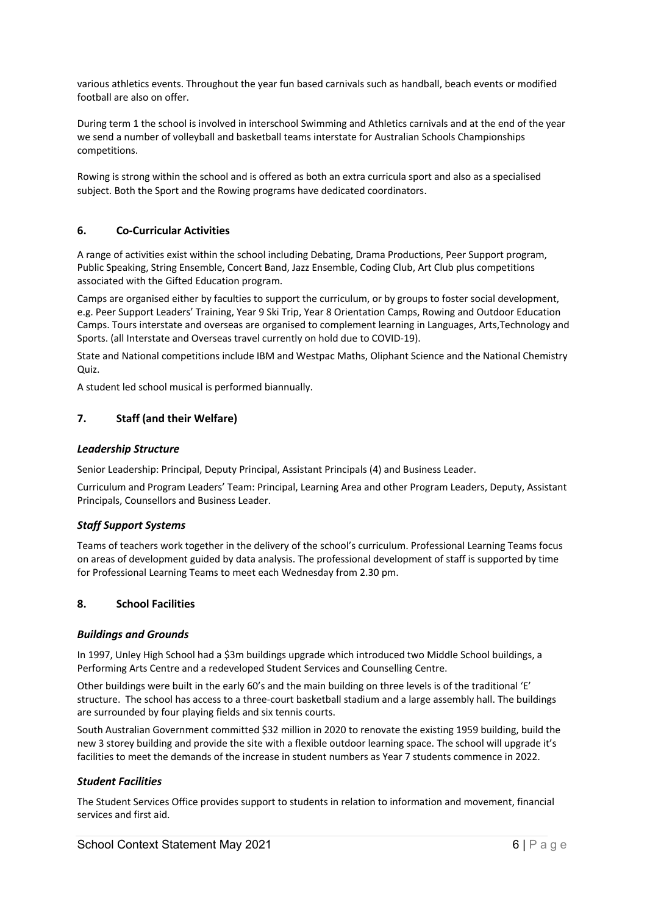various athletics events. Throughout the year fun based carnivals such as handball, beach events or modified football are also on offer.

During term 1 the school is involved in interschool Swimming and Athletics carnivals and at the end of the year we send a number of volleyball and basketball teams interstate for Australian Schools Championships competitions.

Rowing is strong within the school and is offered as both an extra curricula sport and also as a specialised subject. Both the Sport and the Rowing programs have dedicated coordinators.

# **6. Co-Curricular Activities**

A range of activities exist within the school including Debating, Drama Productions, Peer Support program, Public Speaking, String Ensemble, Concert Band, Jazz Ensemble, Coding Club, Art Club plus competitions associated with the Gifted Education program.

Camps are organised either by faculties to support the curriculum, or by groups to foster social development, e.g. Peer Support Leaders' Training, Year 9 Ski Trip, Year 8 Orientation Camps, Rowing and Outdoor Education Camps. Tours interstate and overseas are organised to complement learning in Languages, Arts,Technology and Sports. (all Interstate and Overseas travel currently on hold due to COVID-19).

State and National competitions include IBM and Westpac Maths, Oliphant Science and the National Chemistry Quiz.

A student led school musical is performed biannually.

# **7. Staff (and their Welfare)**

#### *Leadership Structure*

Senior Leadership: Principal, Deputy Principal, Assistant Principals (4) and Business Leader.

Curriculum and Program Leaders' Team: Principal, Learning Area and other Program Leaders, Deputy, Assistant Principals, Counsellors and Business Leader.

# *Staff Support Systems*

Teams of teachers work together in the delivery of the school's curriculum. Professional Learning Teams focus on areas of development guided by data analysis. The professional development of staff is supported by time for Professional Learning Teams to meet each Wednesday from 2.30 pm.

# **8. School Facilities**

#### *Buildings and Grounds*

In 1997, Unley High School had a \$3m buildings upgrade which introduced two Middle School buildings, a Performing Arts Centre and a redeveloped Student Services and Counselling Centre.

Other buildings were built in the early 60's and the main building on three levels is of the traditional 'E' structure. The school has access to a three-court basketball stadium and a large assembly hall. The buildings are surrounded by four playing fields and six tennis courts.

South Australian Government committed \$32 million in 2020 to renovate the existing 1959 building, build the new 3 storey building and provide the site with a flexible outdoor learning space. The school will upgrade it's facilities to meet the demands of the increase in student numbers as Year 7 students commence in 2022.

#### *Student Facilities*

The Student Services Office provides support to students in relation to information and movement, financial services and first aid.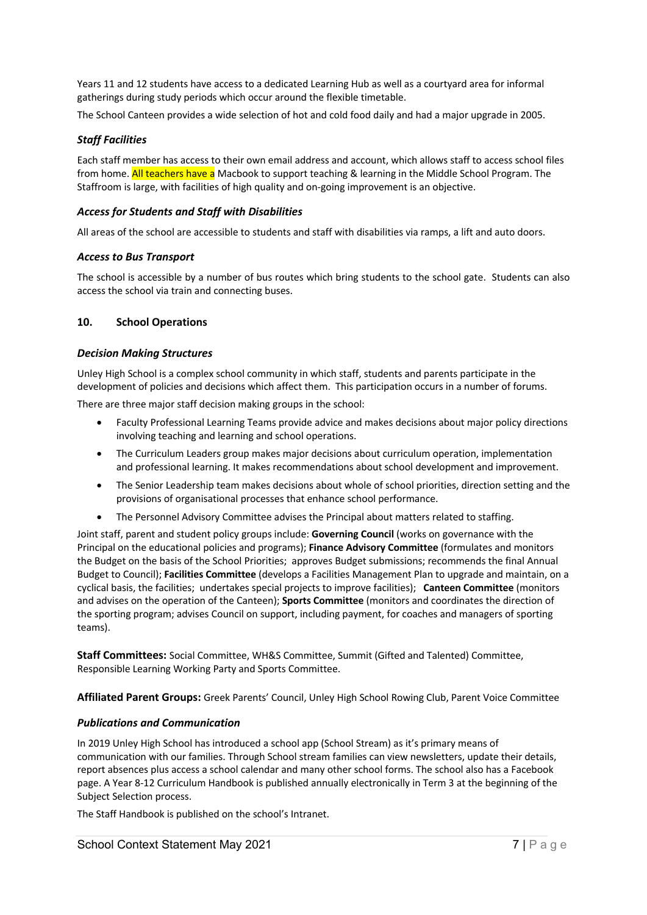Years 11 and 12 students have access to a dedicated Learning Hub as well as a courtyard area for informal gatherings during study periods which occur around the flexible timetable.

The School Canteen provides a wide selection of hot and cold food daily and had a major upgrade in 2005.

# *Staff Facilities*

Each staff member has access to their own email address and account, which allows staff to access school files from home. All teachers have a Macbook to support teaching & learning in the Middle School Program. The Staffroom is large, with facilities of high quality and on-going improvement is an objective.

# *Access for Students and Staff with Disabilities*

All areas of the school are accessible to students and staff with disabilities via ramps, a lift and auto doors.

# *Access to Bus Transport*

The school is accessible by a number of bus routes which bring students to the school gate. Students can also access the school via train and connecting buses.

# **10. School Operations**

# *Decision Making Structures*

Unley High School is a complex school community in which staff, students and parents participate in the development of policies and decisions which affect them. This participation occurs in a number of forums.

There are three major staff decision making groups in the school:

- Faculty Professional Learning Teams provide advice and makes decisions about major policy directions involving teaching and learning and school operations.
- The Curriculum Leaders group makes major decisions about curriculum operation, implementation and professional learning. It makes recommendations about school development and improvement.
- The Senior Leadership team makes decisions about whole of school priorities, direction setting and the provisions of organisational processes that enhance school performance.
- The Personnel Advisory Committee advises the Principal about matters related to staffing.

Joint staff, parent and student policy groups include: **Governing Council** (works on governance with the Principal on the educational policies and programs); **Finance Advisory Committee** (formulates and monitors the Budget on the basis of the School Priorities; approves Budget submissions; recommends the final Annual Budget to Council); **Facilities Committee** (develops a Facilities Management Plan to upgrade and maintain, on a cyclical basis, the facilities; undertakes special projects to improve facilities); **Canteen Committee** (monitors and advises on the operation of the Canteen); **Sports Committee** (monitors and coordinates the direction of the sporting program; advises Council on support, including payment, for coaches and managers of sporting teams).

**Staff Committees:** Social Committee, WH&S Committee, Summit (Gifted and Talented) Committee, Responsible Learning Working Party and Sports Committee.

**Affiliated Parent Groups:** Greek Parents' Council, Unley High School Rowing Club, Parent Voice Committee

# *Publications and Communication*

In 2019 Unley High School has introduced a school app (School Stream) as it's primary means of communication with our families. Through School stream families can view newsletters, update their details, report absences plus access a school calendar and many other school forms. The school also has a Facebook page. A Year 8-12 Curriculum Handbook is published annually electronically in Term 3 at the beginning of the Subject Selection process.

The Staff Handbook is published on the school's Intranet.